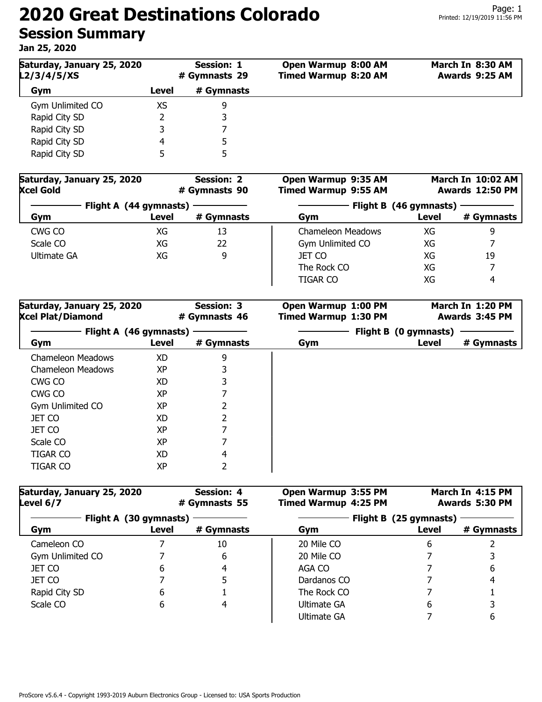## **2020 Great Destinations Colorado Session Summary**

**Jan 25, 2020**

| Saturday, January 25, 2020<br>L2/3/4/5/XS | <b>Session: 1</b><br># Gymnasts 29 |            | Open Warmup 8:00 AM<br><b>Timed Warmup 8:20 AM</b> | March In 8:30 AM<br>Awards 9:25 AM |  |
|-------------------------------------------|------------------------------------|------------|----------------------------------------------------|------------------------------------|--|
| Gym                                       | Level                              | # Gymnasts |                                                    |                                    |  |
| Gym Unlimited CO                          | XS                                 | 9          |                                                    |                                    |  |
| Rapid City SD                             |                                    | 3          |                                                    |                                    |  |
| Rapid City SD                             |                                    |            |                                                    |                                    |  |
| Rapid City SD                             | 4                                  |            |                                                    |                                    |  |
| Rapid City SD                             |                                    | 5          |                                                    |                                    |  |

| Saturday, January 25, 2020<br><b>Xcel Gold</b> |       | <b>Session: 2</b><br># Gymnasts 90 | Open Warmup 9:35 AM<br><b>Timed Warmup 9:55 AM</b> |       | March In 10:02 AM<br><b>Awards 12:50 PM</b> |
|------------------------------------------------|-------|------------------------------------|----------------------------------------------------|-------|---------------------------------------------|
| Flight A (44 gymnasts)                         |       | Flight B (46 gymnasts)             |                                                    |       |                                             |
| Gym                                            | Level | # Gymnasts                         | Gym                                                | Level | # Gymnasts                                  |
| CWG CO                                         | XG    | 13                                 | Chameleon Meadows                                  | XG    | 9                                           |
| Scale CO                                       | XG    | 22                                 | Gym Unlimited CO                                   | XG    |                                             |
| Ultimate GA                                    | XG    | 9                                  | JET CO                                             | XG    | 19                                          |
|                                                |       |                                    | The Rock CO                                        | XG    |                                             |
|                                                |       |                                    | <b>TIGAR CO</b>                                    | XG    | 4                                           |

| Saturday, January 25, 2020<br><b>Xcel Plat/Diamond</b> |                                 | <b>Session: 3</b><br># Gymnasts 46 | Open Warmup 1:00 PM<br><b>Timed Warmup 1:30 PM</b> |                                | March In 1:20 PM<br>Awards 3:45 PM |
|--------------------------------------------------------|---------------------------------|------------------------------------|----------------------------------------------------|--------------------------------|------------------------------------|
| Gym                                                    | Flight A (46 gymnasts)<br>Level | # Gymnasts                         | Gym                                                | Flight B (0 gymnasts)<br>Level | # Gymnasts                         |
| Chameleon Meadows                                      | XD.                             | 9                                  |                                                    |                                |                                    |
| Chameleon Meadows                                      | XP                              | 3                                  |                                                    |                                |                                    |
| CWG CO                                                 | XD                              | 3                                  |                                                    |                                |                                    |
| CWG CO                                                 | ХP                              | 7                                  |                                                    |                                |                                    |
| Gym Unlimited CO                                       | ХP                              | 2                                  |                                                    |                                |                                    |
| <b>JET CO</b>                                          | XD                              | 2                                  |                                                    |                                |                                    |
| JET CO                                                 | XP                              |                                    |                                                    |                                |                                    |
| Scale CO                                               | XP                              | 7                                  |                                                    |                                |                                    |
| <b>TIGAR CO</b>                                        | XD                              | 4                                  |                                                    |                                |                                    |
| <b>TIGAR CO</b>                                        | XP                              | 2                                  |                                                    |                                |                                    |

| Saturday, January 25, 2020<br>Level 6/7 |       | <b>Session: 4</b><br># Gymnasts 55 | Open Warmup 3:55 PM<br><b>Timed Warmup 4:25 PM</b> |       | March In 4:15 PM<br>Awards 5:30 PM |  |
|-----------------------------------------|-------|------------------------------------|----------------------------------------------------|-------|------------------------------------|--|
| Flight A (30 gymnasts)                  |       |                                    | Flight B (25 gymnasts)                             |       |                                    |  |
| Gym                                     | Level | # Gymnasts                         | Gym                                                | Level | # Gymnasts                         |  |
| Cameleon CO                             |       | 10                                 | 20 Mile CO                                         | 6     |                                    |  |
| Gym Unlimited CO                        |       | 6                                  | 20 Mile CO                                         |       |                                    |  |
| <b>JET CO</b>                           | ь     | 4                                  | AGA CO                                             |       | 6                                  |  |
| JET CO                                  |       | 5                                  | Dardanos CO                                        |       | 4                                  |  |
| Rapid City SD                           | 6     |                                    | The Rock CO                                        |       |                                    |  |
| Scale CO                                | 6     | 4                                  | Ultimate GA                                        | 6     |                                    |  |
|                                         |       |                                    | Ultimate GA                                        |       | 6                                  |  |